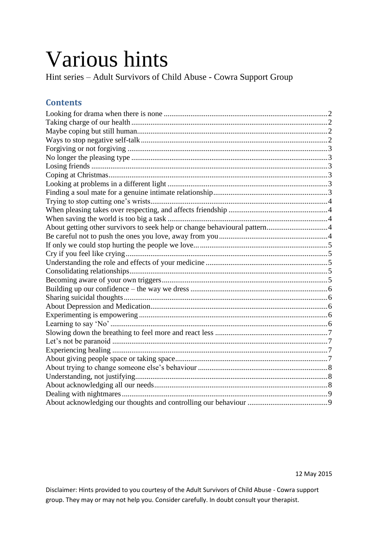# Various hints

Hint series – Adult Survivors of Child Abuse - Cowra Support Group

#### **Contents**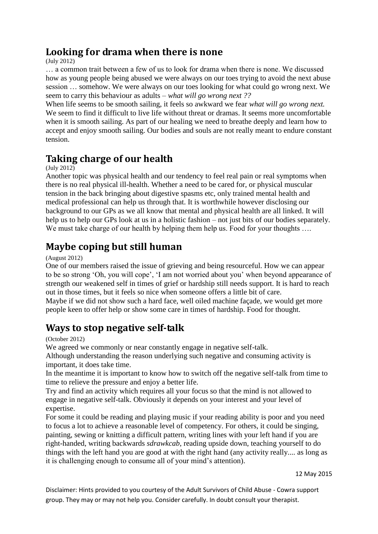#### <span id="page-1-0"></span>**Looking for drama when there is none**

(July 2012)

… a common trait between a few of us to look for drama when there is none. We discussed how as young people being abused we were always on our toes trying to avoid the next abuse session … somehow. We were always on our toes looking for what could go wrong next. We seem to carry this behaviour as adults – *what will go wrong next ??*

When life seems to be smooth sailing, it feels so awkward we fear *what will go wrong next.* We seem to find it difficult to live life without threat or dramas. It seems more uncomfortable when it is smooth sailing. As part of our healing we need to breathe deeply and learn how to accept and enjoy smooth sailing. Our bodies and souls are not really meant to endure constant tension.

#### <span id="page-1-1"></span>**Taking charge of our health**

(July 2012)

Another topic was physical health and our tendency to feel real pain or real symptoms when there is no real physical ill-health. Whether a need to be cared for, or physical muscular tension in the back bringing about digestive spasms etc, only trained mental health and medical professional can help us through that. It is worthwhile however disclosing our background to our GPs as we all know that mental and physical health are all linked. It will help us to help our GPs look at us in a holistic fashion – not just bits of our bodies separately. We must take charge of our health by helping them help us. Food for your thoughts ....

#### <span id="page-1-2"></span>**Maybe coping but still human**

(August 2012)

One of our members raised the issue of grieving and being resourceful. How we can appear to be so strong "Oh, you will cope", "I am not worried about you" when beyond appearance of strength our weakened self in times of grief or hardship still needs support. It is hard to reach out in those times, but it feels so nice when someone offers a little bit of care. Maybe if we did not show such a hard face, well oiled machine façade, we would get more people keen to offer help or show some care in times of hardship. Food for thought.

#### <span id="page-1-3"></span>**Ways to stop negative self-talk**

(October 2012)

We agreed we commonly or near constantly engage in negative self-talk.

Although understanding the reason underlying such negative and consuming activity is important, it does take time.

In the meantime it is important to know how to switch off the negative self-talk from time to time to relieve the pressure and enjoy a better life.

Try and find an activity which requires all your focus so that the mind is not allowed to engage in negative self-talk. Obviously it depends on your interest and your level of expertise.

For some it could be reading and playing music if your reading ability is poor and you need to focus a lot to achieve a reasonable level of competency. For others, it could be singing, painting, sewing or knitting a difficult pattern, writing lines with your left hand if you are right-handed, writing backwards *sdrawkcab*, reading upside down, teaching yourself to do things with the left hand you are good at with the right hand (any activity really.... as long as it is challenging enough to consume all of your mind"s attention).

12 May 2015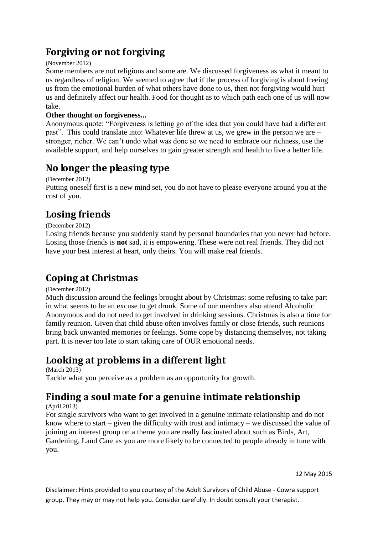## **Forgiving or not forgiving**

#### <span id="page-2-0"></span>(November 2012)

Some members are not religious and some are. We discussed forgiveness as what it meant to us regardless of religion. We seemed to agree that if the process of forgiving is about freeing us from the emotional burden of what others have done to us, then not forgiving would hurt us and definitely affect our health. Food for thought as to which path each one of us will now take.

#### **Other thought on forgiveness...**

Anonymous quote: "Forgiveness is letting go of the idea that you could have had a different past". This could translate into: Whatever life threw at us, we grew in the person we are – stronger, richer. We can"t undo what was done so we need to embrace our richness, use the available support, and help ourselves to gain greater strength and health to live a better life.

#### <span id="page-2-1"></span>**No longer the pleasing type**

(December 2012)

Putting oneself first is a new mind set, you do not have to please everyone around you at the cost of you.

#### <span id="page-2-2"></span>**Losing friends**

(December 2012)

Losing friends because you suddenly stand by personal boundaries that you never had before. Losing those friends is **not** sad, it is empowering. These were not real friends. They did not have your best interest at heart, only theirs. You will make real friends.

#### <span id="page-2-3"></span>**Coping at Christmas**

(December 2012)

Much discussion around the feelings brought about by Christmas: some refusing to take part in what seems to be an excuse to get drunk. Some of our members also attend Alcoholic Anonymous and do not need to get involved in drinking sessions. Christmas is also a time for family reunion. Given that child abuse often involves family or close friends, such reunions bring back unwanted memories or feelings. Some cope by distancing themselves, not taking part. It is never too late to start taking care of OUR emotional needs.

#### <span id="page-2-4"></span>**Looking at problems in a different light**

(March 2013) Tackle what you perceive as a problem as an opportunity for growth.

# <span id="page-2-5"></span>**Finding a soul mate for a genuine intimate relationship**

(April 2013)

For single survivors who want to get involved in a genuine intimate relationship and do not know where to start – given the difficulty with trust and intimacy – we discussed the value of joining an interest group on a theme you are really fascinated about such as Birds, Art, Gardening, Land Care as you are more likely to be connected to people already in tune with you.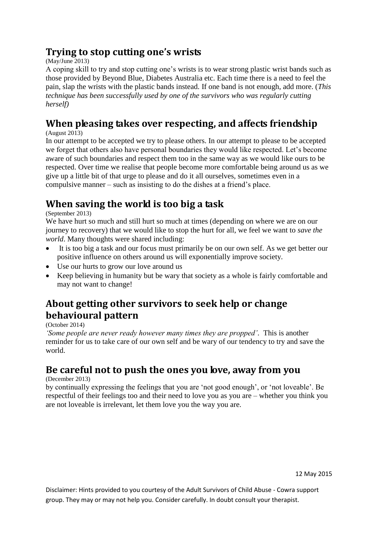#### <span id="page-3-0"></span>**Trying to stop cutting one's wrists**

(May/June 2013)

A coping skill to try and stop cutting one"s wrists is to wear strong plastic wrist bands such as those provided by Beyond Blue, Diabetes Australia etc. Each time there is a need to feel the pain, slap the wrists with the plastic bands instead. If one band is not enough, add more. (*This technique has been successfully used by one of the survivors who was regularly cutting herself)*

# <span id="page-3-1"></span>**When pleasing takes over respecting, and affects friendship**

(August 2013)

In our attempt to be accepted we try to please others. In our attempt to please to be accepted we forget that others also have personal boundaries they would like respected. Let"s become aware of such boundaries and respect them too in the same way as we would like ours to be respected. Over time we realise that people become more comfortable being around us as we give up a little bit of that urge to please and do it all ourselves, sometimes even in a compulsive manner – such as insisting to do the dishes at a friend"s place.

## <span id="page-3-2"></span>**When saving the world is too big a task**

(September 2013)

We have hurt so much and still hurt so much at times (depending on where we are on our journey to recovery) that we would like to stop the hurt for all, we feel we want to *save the world*. Many thoughts were shared including:

- It is too big a task and our focus must primarily be on our own self. As we get better our positive influence on others around us will exponentially improve society.
- Use our hurts to grow our love around us
- Keep believing in humanity but be wary that society as a whole is fairly comfortable and may not want to change!

## <span id="page-3-3"></span>**About getting other survivors to seek help or change behavioural pattern**

(October 2014)

*'Some people are never ready however many times they are propped'*. This is another reminder for us to take care of our own self and be wary of our tendency to try and save the world.

#### <span id="page-3-4"></span>**Be careful not to push the ones you love, away from you**

(December 2013)

by continually expressing the feelings that you are "not good enough", or "not loveable". Be respectful of their feelings too and their need to love you as you are – whether you think you are not loveable is irrelevant, let them love you the way you are.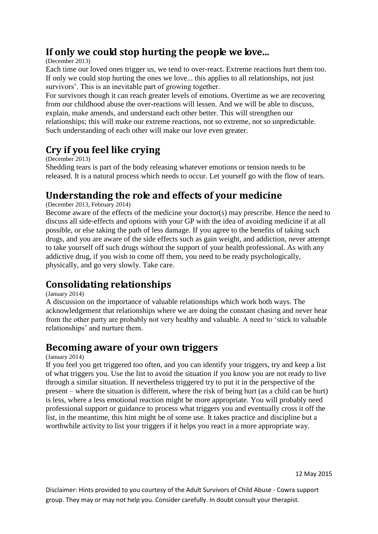#### <span id="page-4-0"></span>**If only we could stop hurting the people we love...**

#### (December 2013)

Each time our loved ones trigger us, we tend to over-react. Extreme reactions hurt them too. If only we could stop hurting the ones we love... this applies to all relationships, not just survivors'. This is an inevitable part of growing together.

For survivors though it can reach greater levels of emotions. Overtime as we are recovering from our childhood abuse the over-reactions will lessen. And we will be able to discuss, explain, make amends, and understand each other better. This will strengthen our relationships; this will make our extreme reactions, not so extreme, not so unpredictable. Such understanding of each other will make our love even greater.

#### <span id="page-4-1"></span>**Cry if you feel like crying**

(December 2013)

Shedding tears is part of the body releasing whatever emotions or tension needs to be released. It is a natural process which needs to occur. Let yourself go with the flow of tears.

#### <span id="page-4-2"></span>**Understanding the role and effects of your medicine**

(December 2013, February 2014)

Become aware of the effects of the medicine your doctor(s) may prescribe. Hence the need to discuss all side-effects and options with your GP with the idea of avoiding medicine if at all possible, or else taking the path of less damage. If you agree to the benefits of taking such drugs, and you are aware of the side effects such as gain weight, and addiction, never attempt to take yourself off such drugs without the support of your health professional. As with any addictive drug, if you wish to come off them, you need to be ready psychologically, physically, and go very slowly. Take care.

#### <span id="page-4-3"></span>**Consolidating relationships**

(January 2014)

A discussion on the importance of valuable relationships which work both ways. The acknowledgement that relationships where we are doing the constant chasing and never hear from the other party are probably not very healthy and valuable. A need to "stick to valuable relationships' and nurture them.

#### <span id="page-4-4"></span>**Becoming aware of your own triggers**

#### (January 2014)

If you feel you get triggered too often, and you can identify your triggers, try and keep a list of what triggers you. Use the list to avoid the situation if you know you are not ready to live through a similar situation. If nevertheless triggered try to put it in the perspective of the present – where the situation is different, where the risk of being hurt (as a child can be hurt) is less, where a less emotional reaction might be more appropriate. You will probably need professional support or guidance to process what triggers you and eventually cross it off the list, in the meantime, this hint might be of some use. It takes practice and discipline but a worthwhile activity to list your triggers if it helps you react in a more appropriate way.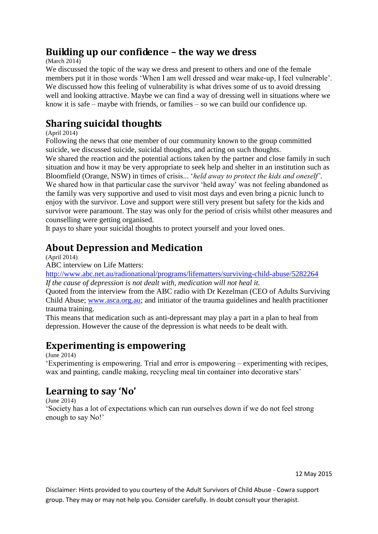#### <span id="page-5-0"></span>**Building up our confidence – the way we dress**

(March 2014)

We discussed the topic of the way we dress and present to others and one of the female members put it in those words "When I am well dressed and wear make-up, I feel vulnerable". We discussed how this feeling of vulnerability is what drives some of us to avoid dressing well and looking attractive. Maybe we can find a way of dressing well in situations where we know it is safe – maybe with friends, or families – so we can build our confidence up.

## <span id="page-5-1"></span>**Sharing suicidal thoughts**

(April 2014)

Following the news that one member of our community known to the group committed suicide, we discussed suicide, suicidal thoughts, and acting on such thoughts.

We shared the reaction and the potential actions taken by the partner and close family in such situation and how it may be very appropriate to seek help and shelter in an institution such as Bloomfield (Orange, NSW) in times of crisis... "*held away to protect the kids and oneself'*. We shared how in that particular case the survivor 'held away' was not feeling abandoned as the family was very supportive and used to visit most days and even bring a picnic lunch to enjoy with the survivor. Love and support were still very present but safety for the kids and survivor were paramount. The stay was only for the period of crisis whilst other measures and counselling were getting organised.

It pays to share your suicidal thoughts to protect yourself and your loved ones.

#### <span id="page-5-2"></span>**About Depression and Medication**

(April 2014)

ABC interview on Life Matters:

<http://www.abc.net.au/radionational/programs/lifematters/surviving-child-abuse/5282264> *If the cause of depression is not dealt with, medication will not heal it.*

Quoted from the interview from the ABC radio with Dr Kezelman (CEO of Adults Surviving Child Abuse; [www.asca.org.au;](http://www.asca.org.au/) and initiator of the trauma guidelines and health practitioner trauma training.

This means that medication such as anti-depressant may play a part in a plan to heal from depression. However the cause of the depression is what needs to be dealt with.

#### <span id="page-5-3"></span>**Experimenting is empowering**

(June 2014)

"Experimenting is empowering. Trial and error is empowering – experimenting with recipes, wax and painting, candle making, recycling meal tin container into decorative stars'

## <span id="page-5-4"></span>**Learning to say 'No'**

(June 2014)

"Society has a lot of expectations which can run ourselves down if we do not feel strong enough to say No!"

12 May 2015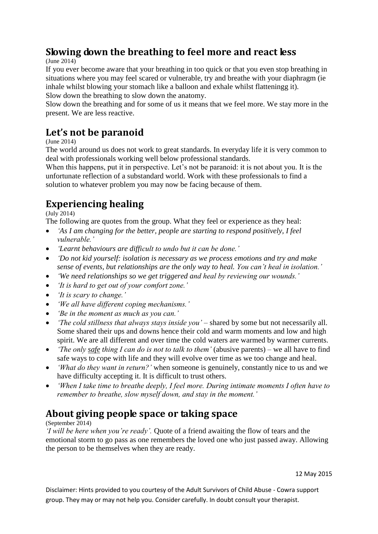#### <span id="page-6-0"></span>**Slowing down the breathing to feel more and react less**

(June 2014)

If you ever become aware that your breathing in too quick or that you even stop breathing in situations where you may feel scared or vulnerable, try and breathe with your diaphragm (ie inhale whilst blowing your stomach like a balloon and exhale whilst flatteningg it). Slow down the breathing to slow down the anatomy.

Slow down the breathing and for some of us it means that we feel more. We stay more in the present. We are less reactive.

#### <span id="page-6-1"></span>**Let's not be paranoid**

(June 2014)

The world around us does not work to great standards. In everyday life it is very common to deal with professionals working well below professional standards.

When this happens, put it in perspective. Let's not be paranoid: it is not about you. It is the unfortunate reflection of a substandard world. Work with these professionals to find a solution to whatever problem you may now be facing because of them.

## <span id="page-6-2"></span>**Experiencing healing**

 $(\text{July } 2014)$ 

The following are quotes from the group. What they feel or experience as they heal:

- *'As I am changing for the better, people are starting to respond positively, I feel vulnerable.'*
- *'Learnt behaviours are difficult to undo but it can be done.'*
- *'Do not kid yourself: isolation is necessary as we process emotions and try and make sense of events, but relationships are the only way to heal. You can't heal in isolation.'*
- *'We need relationships so we get triggered and heal by reviewing our wounds.'*
- *'It is hard to get out of your comfort zone.'*
- *'It is scary to change.'*
- *'We all have different coping mechanisms.'*
- *'Be in the moment as much as you can.'*
- *The cold stillness that always stays inside you'* shared by some but not necessarily all. Some shared their ups and downs hence their cold and warm moments and low and high spirit. We are all different and over time the cold waters are warmed by warmer currents.
- *'The only safe thing I can do is not to talk to them'* (abusive parents) we all have to find safe ways to cope with life and they will evolve over time as we too change and heal.
- *'What do they want in return?'* when someone is genuinely, constantly nice to us and we have difficulty accepting it. It is difficult to trust others.
- *'When I take time to breathe deeply, I feel more. During intimate moments I often have to remember to breathe, slow myself down, and stay in the moment.'*

## <span id="page-6-3"></span>**About giving people space or taking space**

#### (September 2014)

*'I will be here when you're ready'.* Quote of a friend awaiting the flow of tears and the emotional storm to go pass as one remembers the loved one who just passed away. Allowing the person to be themselves when they are ready.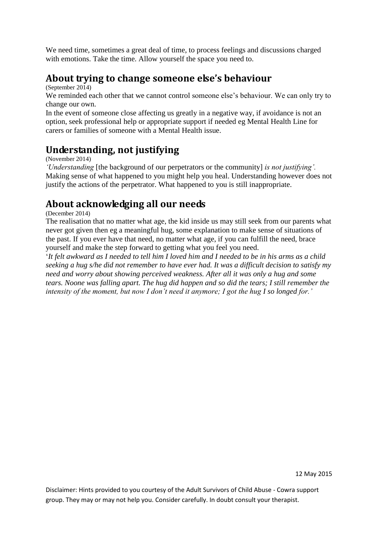We need time, sometimes a great deal of time, to process feelings and discussions charged with emotions. Take the time. Allow yourself the space you need to.

#### <span id="page-7-0"></span>**About trying to change someone else's behaviour**

(September 2014)

We reminded each other that we cannot control someone else's behaviour. We can only try to change our own.

In the event of someone close affecting us greatly in a negative way, if avoidance is not an option, seek professional help or appropriate support if needed eg Mental Health Line for carers or families of someone with a Mental Health issue.

#### <span id="page-7-1"></span>**Understanding, not justifying**

(November 2014)

*'Understanding* [the background of our perpetrators or the community] *is not justifying'.*  Making sense of what happened to you might help you heal. Understanding however does not justify the actions of the perpetrator. What happened to you is still inappropriate.

#### <span id="page-7-2"></span>**About acknowledging all our needs**

(December 2014)

The realisation that no matter what age, the kid inside us may still seek from our parents what never got given then eg a meaningful hug, some explanation to make sense of situations of the past. If you ever have that need, no matter what age, if you can fulfill the need, brace yourself and make the step forward to getting what you feel you need.

"*It felt awkward as I needed to tell him I loved him and I needed to be in his arms as a child seeking a hug s/he did not remember to have ever had. It was a difficult decision to satisfy my need and worry about showing perceived weakness. After all it was only a hug and some tears. Noone was falling apart. The hug did happen and so did the tears; I still remember the intensity of the moment, but now I don't need it anymore; I got the hug I so longed for.'*